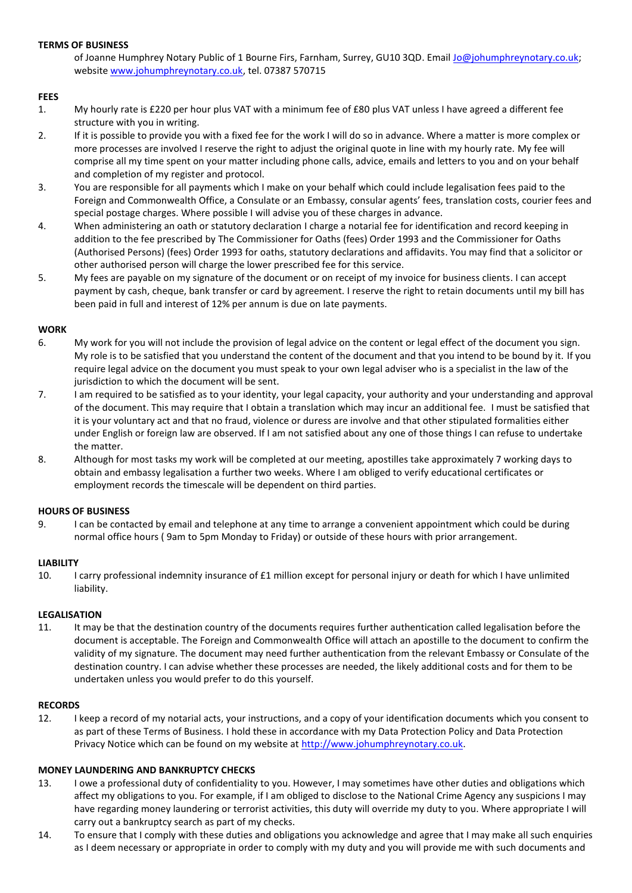## **TERMS OF BUSINESS**

of Joanne Humphrey Notary Public of 1 Bourne Firs, Farnham, Surrey, GU10 3QD. Email [Jo@johumphreynotary.co.uk;](mailto:Jo@johumphreynotary.co.uk) website [www.johumphreynotary.co.uk,](http://www.johumphreynotary.co.uk/) tel. 07387 570715

## **FEES**

- 1. My hourly rate is £220 per hour plus VAT with a minimum fee of £80 plus VAT unless I have agreed a different fee structure with you in writing.
- 2. If it is possible to provide you with a fixed fee for the work I will do so in advance. Where a matter is more complex or more processes are involved I reserve the right to adjust the original quote in line with my hourly rate. My fee will comprise all my time spent on your matter including phone calls, advice, emails and letters to you and on your behalf and completion of my register and protocol.
- 3. You are responsible for all payments which I make on your behalf which could include legalisation fees paid to the Foreign and Commonwealth Office, a Consulate or an Embassy, consular agents' fees, translation costs, courier fees and special postage charges. Where possible I will advise you of these charges in advance.
- 4. When administering an oath or statutory declaration I charge a notarial fee for identification and record keeping in addition to the fee prescribed by The Commissioner for Oaths (fees) Order 1993 and the Commissioner for Oaths (Authorised Persons) (fees) Order 1993 for oaths, statutory declarations and affidavits. You may find that a solicitor or other authorised person will charge the lower prescribed fee for this service.
- 5. My fees are payable on my signature of the document or on receipt of my invoice for business clients. I can accept payment by cash, cheque, bank transfer or card by agreement. I reserve the right to retain documents until my bill has been paid in full and interest of 12% per annum is due on late payments.

## **WORK**

- 6. My work for you will not include the provision of legal advice on the content or legal effect of the document you sign. My role is to be satisfied that you understand the content of the document and that you intend to be bound by it. If you require legal advice on the document you must speak to your own legal adviser who is a specialist in the law of the jurisdiction to which the document will be sent.
- 7. I am required to be satisfied as to your identity, your legal capacity, your authority and your understanding and approval of the document. This may require that I obtain a translation which may incur an additional fee. I must be satisfied that it is your voluntary act and that no fraud, violence or duress are involve and that other stipulated formalities either under English or foreign law are observed. If I am not satisfied about any one of those things I can refuse to undertake the matter.
- 8. Although for most tasks my work will be completed at our meeting, apostilles take approximately 7 working days to obtain and embassy legalisation a further two weeks. Where I am obliged to verify educational certificates or employment records the timescale will be dependent on third parties.

## **HOURS OF BUSINESS**

9. I can be contacted by email and telephone at any time to arrange a convenient appointment which could be during normal office hours ( 9am to 5pm Monday to Friday) or outside of these hours with prior arrangement.

## **LIABILITY**

10. I carry professional indemnity insurance of £1 million except for personal injury or death for which I have unlimited liability.

#### **LEGALISATION**

11. It may be that the destination country of the documents requires further authentication called legalisation before the document is acceptable. The Foreign and Commonwealth Office will attach an apostille to the document to confirm the validity of my signature. The document may need further authentication from the relevant Embassy or Consulate of the destination country. I can advise whether these processes are needed, the likely additional costs and for them to be undertaken unless you would prefer to do this yourself.

#### **RECORDS**

12. I keep a record of my notarial acts, your instructions, and a copy of your identification documents which you consent to as part of these Terms of Business. I hold these in accordance with my Data Protection Policy and Data Protection Privacy Notice which can be found on my website at [http://www.johumphreynotary.co.uk.](http://www.johumphreynotary.co.uk/)

# **MONEY LAUNDERING AND BANKRUPTCY CHECKS**

- 13. I owe a professional duty of confidentiality to you. However, I may sometimes have other duties and obligations which affect my obligations to you. For example, if I am obliged to disclose to the National Crime Agency any suspicions I may have regarding money laundering or terrorist activities, this duty will override my duty to you. Where appropriate I will carry out a bankruptcy search as part of my checks.
- 14. To ensure that I comply with these duties and obligations you acknowledge and agree that I may make all such enquiries as I deem necessary or appropriate in order to comply with my duty and you will provide me with such documents and